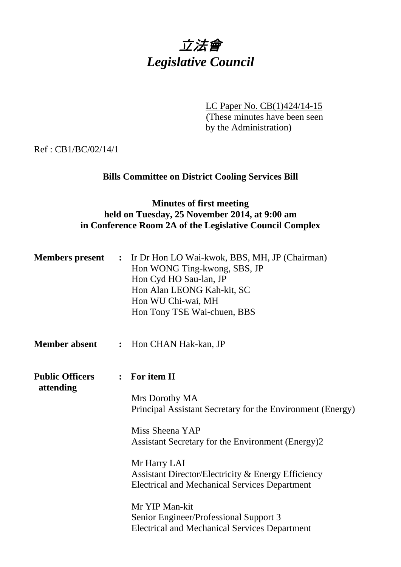

LC Paper No. CB(1)424/14-15

(These minutes have been seen by the Administration)

Ref : CB1/BC/02/14/1

# **Bills Committee on District Cooling Services Bill**

# **Minutes of first meeting held on Tuesday, 25 November 2014, at 9:00 am in Conference Room 2A of the Legislative Council Complex**

| <b>Members</b> present              | $\ddot{\cdot}$ | Ir Dr Hon LO Wai-kwok, BBS, MH, JP (Chairman)<br>Hon WONG Ting-kwong, SBS, JP<br>Hon Cyd HO Sau-lan, JP<br>Hon Alan LEONG Kah-kit, SC<br>Hon WU Chi-wai, MH<br>Hon Tony TSE Wai-chuen, BBS |
|-------------------------------------|----------------|--------------------------------------------------------------------------------------------------------------------------------------------------------------------------------------------|
| <b>Member absent</b>                | $\ddot{\cdot}$ | Hon CHAN Hak-kan, JP                                                                                                                                                                       |
| <b>Public Officers</b><br>attending |                | $:$ For item II                                                                                                                                                                            |
|                                     |                | Mrs Dorothy MA<br>Principal Assistant Secretary for the Environment (Energy)                                                                                                               |
|                                     |                | Miss Sheena YAP<br>Assistant Secretary for the Environment (Energy)2                                                                                                                       |
|                                     |                | Mr Harry LAI<br>Assistant Director/Electricity & Energy Efficiency<br><b>Electrical and Mechanical Services Department</b>                                                                 |
|                                     |                | Mr YIP Man-kit<br>Senior Engineer/Professional Support 3<br><b>Electrical and Mechanical Services Department</b>                                                                           |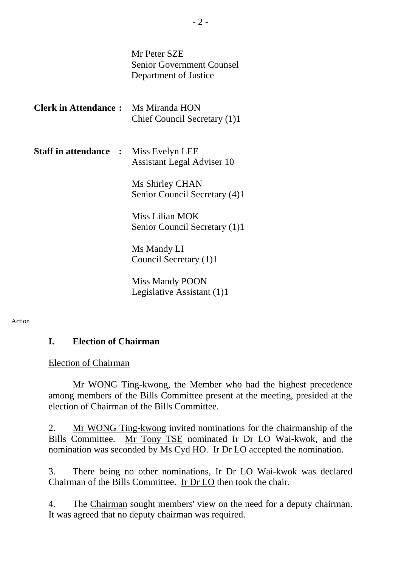Mr Peter SZE Senior Government Counsel Department of Justice

| <b>Clerk in Attendance:</b> Ms Miranda HON   | Chief Council Secretary (1)1                     |
|----------------------------------------------|--------------------------------------------------|
| <b>Staff in attendance :</b> Miss Evelyn LEE | Assistant Legal Adviser 10                       |
|                                              | Ms Shirley CHAN<br>Senior Council Secretary (4)1 |
|                                              | Mice Lilian MOK                                  |

Miss Lilian MOK Senior Council Secretary (1)1

Ms Mandy LI Council Secretary (1)1

Miss Mandy POON Legislative Assistant (1)1

#### Action

## **I. Election of Chairman**

#### Election of Chairman

 Mr WONG Ting-kwong, the Member who had the highest precedence among members of the Bills Committee present at the meeting, presided at the election of Chairman of the Bills Committee.

2. Mr WONG Ting-kwong invited nominations for the chairmanship of the Bills Committee. Mr Tony TSE nominated Ir Dr LO Wai-kwok, and the nomination was seconded by Ms Cyd HO. Ir Dr LO accepted the nomination.

3. There being no other nominations, Ir Dr LO Wai-kwok was declared Chairman of the Bills Committee. Ir Dr LO then took the chair.

4. The Chairman sought members' view on the need for a deputy chairman. It was agreed that no deputy chairman was required.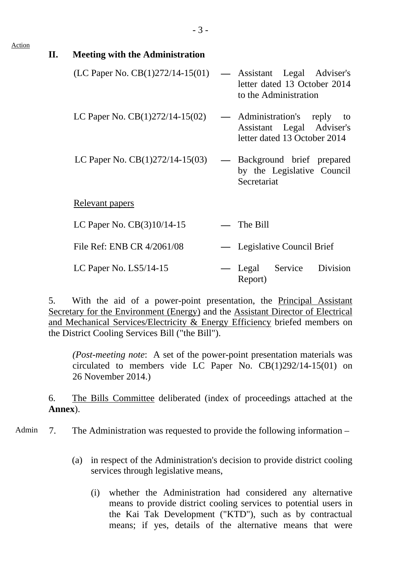#### Action

**II. Meeting with the Administration** 

| (LC Paper No. $CB(1)272/14-15(01)$ | — Assistant Legal Adviser's<br>letter dated 13 October 2014<br>to the Administration     |
|------------------------------------|------------------------------------------------------------------------------------------|
| LC Paper No. $CB(1)272/14-15(02)$  | — Administration's reply to<br>Assistant Legal Adviser's<br>letter dated 13 October 2014 |
| LC Paper No. $CB(1)272/14-15(03)$  | — Background brief prepared<br>by the Legislative Council<br>Secretariat                 |
| Relevant papers                    |                                                                                          |
| LC Paper No. $CB(3)10/14-15$       | The Bill                                                                                 |
| File Ref: ENB CR 4/2061/08         | — Legislative Council Brief                                                              |
| LC Paper No. $LS5/14-15$           | - Legal Service Division<br>Report)                                                      |

5. With the aid of a power-point presentation, the Principal Assistant Secretary for the Environment (Energy) and the Assistant Director of Electrical and Mechanical Services/Electricity & Energy Efficiency briefed members on the District Cooling Services Bill ("the Bill").

*(Post-meeting note*: A set of the power-point presentation materials was circulated to members vide LC Paper No. CB(1)292/14-15(01) on 26 November 2014.)

6. The Bills Committee deliberated (index of proceedings attached at the **Annex**).

Admin 7. The Administration was requested to provide the following information –

- (a) in respect of the Administration's decision to provide district cooling services through legislative means,
	- (i) whether the Administration had considered any alternative means to provide district cooling services to potential users in the Kai Tak Development ("KTD"), such as by contractual means; if yes, details of the alternative means that were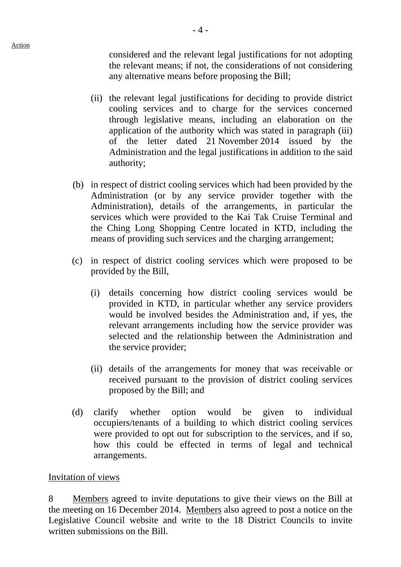considered and the relevant legal justifications for not adopting the relevant means; if not, the considerations of not considering any alternative means before proposing the Bill;

- (ii) the relevant legal justifications for deciding to provide district cooling services and to charge for the services concerned through legislative means, including an elaboration on the application of the authority which was stated in paragraph (iii) of the letter dated 21 November 2014 issued by the Administration and the legal justifications in addition to the said authority;
- (b) in respect of district cooling services which had been provided by the Administration (or by any service provider together with the Administration), details of the arrangements, in particular the services which were provided to the Kai Tak Cruise Terminal and the Ching Long Shopping Centre located in KTD, including the means of providing such services and the charging arrangement;
- (c) in respect of district cooling services which were proposed to be provided by the Bill,
	- (i) details concerning how district cooling services would be provided in KTD, in particular whether any service providers would be involved besides the Administration and, if yes, the relevant arrangements including how the service provider was selected and the relationship between the Administration and the service provider;
	- (ii) details of the arrangements for money that was receivable or received pursuant to the provision of district cooling services proposed by the Bill; and
- (d) clarify whether option would be given to individual occupiers/tenants of a building to which district cooling services were provided to opt out for subscription to the services, and if so, how this could be effected in terms of legal and technical arrangements.

## Invitation of views

8 Members agreed to invite deputations to give their views on the Bill at the meeting on 16 December 2014. Members also agreed to post a notice on the Legislative Council website and write to the 18 District Councils to invite written submissions on the Bill.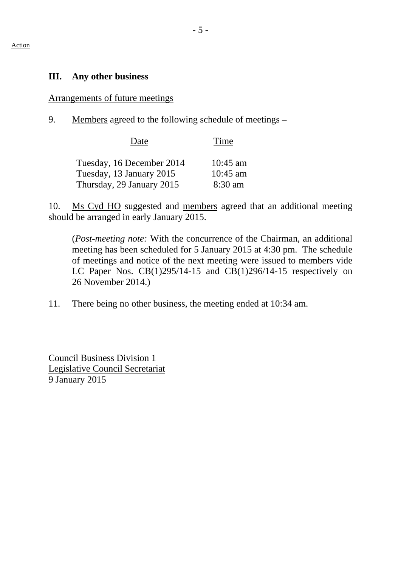## **III. Any other business**

## Arrangements of future meetings

9. Members agreed to the following schedule of meetings –

| Date                      | Time       |
|---------------------------|------------|
| Tuesday, 16 December 2014 | $10:45$ am |
| Tuesday, 13 January 2015  | $10:45$ am |
| Thursday, 29 January 2015 | $8:30$ am  |

10. Ms Cyd HO suggested and members agreed that an additional meeting should be arranged in early January 2015.

(*Post-meeting note:* With the concurrence of the Chairman, an additional meeting has been scheduled for 5 January 2015 at 4:30 pm. The schedule of meetings and notice of the next meeting were issued to members vide LC Paper Nos. CB(1)295/14-15 and CB(1)296/14-15 respectively on 26 November 2014.)

11. There being no other business, the meeting ended at 10:34 am.

Council Business Division 1 Legislative Council Secretariat 9 January 2015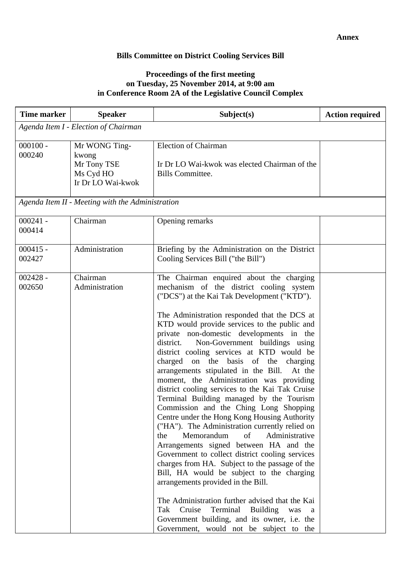## **Bills Committee on District Cooling Services Bill**

#### **Proceedings of the first meeting on Tuesday, 25 November 2014, at 9:00 am in Conference Room 2A of the Legislative Council Complex**

| <b>Time marker</b>   | <b>Speaker</b>                                                          | Subject(s)                                                                                                                                                                                                                                                                                                                                                                                                                                                                                                                                                                                                                                                                                                                                                                                                                                                                                                                                                                                                                                                                                                                                                                                                                                               | <b>Action required</b> |
|----------------------|-------------------------------------------------------------------------|----------------------------------------------------------------------------------------------------------------------------------------------------------------------------------------------------------------------------------------------------------------------------------------------------------------------------------------------------------------------------------------------------------------------------------------------------------------------------------------------------------------------------------------------------------------------------------------------------------------------------------------------------------------------------------------------------------------------------------------------------------------------------------------------------------------------------------------------------------------------------------------------------------------------------------------------------------------------------------------------------------------------------------------------------------------------------------------------------------------------------------------------------------------------------------------------------------------------------------------------------------|------------------------|
|                      | Agenda Item I - Election of Chairman                                    |                                                                                                                                                                                                                                                                                                                                                                                                                                                                                                                                                                                                                                                                                                                                                                                                                                                                                                                                                                                                                                                                                                                                                                                                                                                          |                        |
| $000100 -$<br>000240 | Mr WONG Ting-<br>kwong<br>Mr Tony TSE<br>Ms Cyd HO<br>Ir Dr LO Wai-kwok | <b>Election of Chairman</b><br>Ir Dr LO Wai-kwok was elected Chairman of the<br><b>Bills Committee.</b>                                                                                                                                                                                                                                                                                                                                                                                                                                                                                                                                                                                                                                                                                                                                                                                                                                                                                                                                                                                                                                                                                                                                                  |                        |
|                      | Agenda Item II - Meeting with the Administration                        |                                                                                                                                                                                                                                                                                                                                                                                                                                                                                                                                                                                                                                                                                                                                                                                                                                                                                                                                                                                                                                                                                                                                                                                                                                                          |                        |
| $000241 -$<br>000414 | Chairman                                                                | Opening remarks                                                                                                                                                                                                                                                                                                                                                                                                                                                                                                                                                                                                                                                                                                                                                                                                                                                                                                                                                                                                                                                                                                                                                                                                                                          |                        |
| $000415 -$<br>002427 | Administration                                                          | Briefing by the Administration on the District<br>Cooling Services Bill ("the Bill")                                                                                                                                                                                                                                                                                                                                                                                                                                                                                                                                                                                                                                                                                                                                                                                                                                                                                                                                                                                                                                                                                                                                                                     |                        |
| $002428 -$<br>002650 | Chairman<br>Administration                                              | The Chairman enquired about the charging<br>mechanism of the district cooling system<br>("DCS") at the Kai Tak Development ("KTD").<br>The Administration responded that the DCS at<br>KTD would provide services to the public and<br>private non-domestic developments in the<br>Non-Government buildings using<br>district.<br>district cooling services at KTD would be<br>charged on the basis of the<br>charging<br>arrangements stipulated in the Bill.<br>At the<br>moment, the Administration was providing<br>district cooling services to the Kai Tak Cruise<br>Terminal Building managed by the Tourism<br>Commission and the Ching Long Shopping<br>Centre under the Hong Kong Housing Authority<br>("HA"). The Administration currently relied on<br>Memorandum<br>of<br>Administrative<br>the<br>Arrangements signed between HA and the<br>Government to collect district cooling services<br>charges from HA. Subject to the passage of the<br>Bill, HA would be subject to the charging<br>arrangements provided in the Bill.<br>The Administration further advised that the Kai<br>Cruise<br>Terminal<br><b>Building</b><br>Tak<br>was<br>a<br>Government building, and its owner, i.e. the<br>Government, would not be subject to the |                        |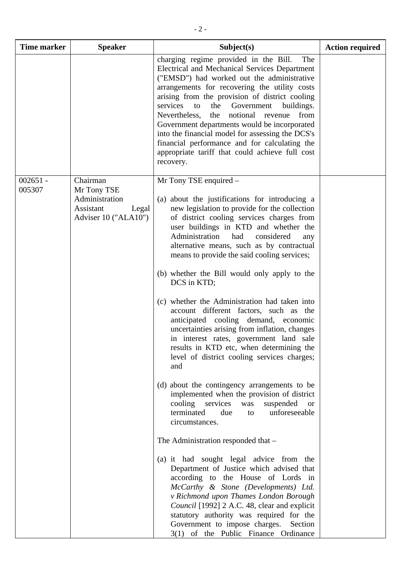| <b>Time marker</b>   | <b>Speaker</b>                                                                          | Subject(s)                                                                                                                                                                                                                                                                                                                                                                                                                                                                                                                                                                                                                                                                                                                                                                                                                                                                                                                                                                                                        | <b>Action required</b> |
|----------------------|-----------------------------------------------------------------------------------------|-------------------------------------------------------------------------------------------------------------------------------------------------------------------------------------------------------------------------------------------------------------------------------------------------------------------------------------------------------------------------------------------------------------------------------------------------------------------------------------------------------------------------------------------------------------------------------------------------------------------------------------------------------------------------------------------------------------------------------------------------------------------------------------------------------------------------------------------------------------------------------------------------------------------------------------------------------------------------------------------------------------------|------------------------|
|                      |                                                                                         | charging regime provided in the Bill.<br>The<br><b>Electrical and Mechanical Services Department</b><br>("EMSD") had worked out the administrative<br>arrangements for recovering the utility costs<br>arising from the provision of district cooling<br>services<br>Government<br>the<br>buildings.<br>to<br>Nevertheless,<br>the notional revenue<br>from<br>Government departments would be incorporated<br>into the financial model for assessing the DCS's<br>financial performance and for calculating the<br>appropriate tariff that could achieve full cost<br>recovery.                                                                                                                                                                                                                                                                                                                                                                                                                                  |                        |
| $002651 -$<br>005307 | Chairman<br>Mr Tony TSE<br>Administration<br>Assistant<br>Legal<br>Adviser 10 ("ALA10") | Mr Tony TSE enquired –<br>(a) about the justifications for introducing a<br>new legislation to provide for the collection<br>of district cooling services charges from<br>user buildings in KTD and whether the<br>Administration<br>had<br>considered<br>any<br>alternative means, such as by contractual<br>means to provide the said cooling services;<br>(b) whether the Bill would only apply to the<br>DCS in KTD;<br>(c) whether the Administration had taken into<br>account different factors, such as the<br>anticipated cooling demand, economic<br>uncertainties arising from inflation, changes<br>in interest rates, government land sale<br>results in KTD etc, when determining the<br>level of district cooling services charges;<br>and<br>(d) about the contingency arrangements to be<br>implemented when the provision of district<br>cooling services<br>suspended<br>was<br><b>or</b><br>terminated<br>unforeseeable<br>due<br>to<br>circumstances.<br>The Administration responded that - |                        |
|                      |                                                                                         | (a) it had sought legal advice from the<br>Department of Justice which advised that<br>according to the House of Lords in<br>McCarthy & Stone (Developments) Ltd.<br>v Richmond upon Thames London Borough<br>Council [1992] 2 A.C. 48, clear and explicit<br>statutory authority was required for the<br>Government to impose charges.<br>Section<br>3(1) of the Public Finance Ordinance                                                                                                                                                                                                                                                                                                                                                                                                                                                                                                                                                                                                                        |                        |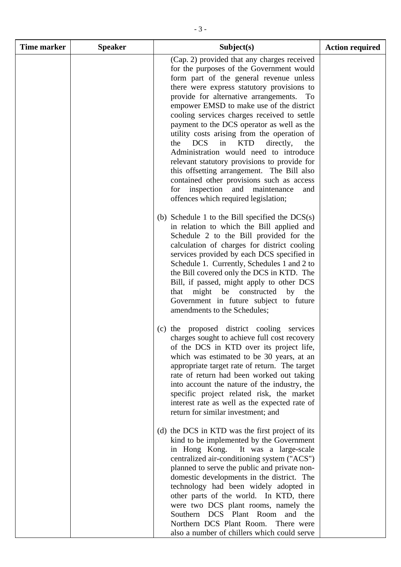| <b>Time marker</b> | <b>Speaker</b> | Subject(s)                                                                                                                                                                                                                                                                                                                                                                                                                                                                                                                                                                                                                                                                                                                                             | <b>Action required</b> |
|--------------------|----------------|--------------------------------------------------------------------------------------------------------------------------------------------------------------------------------------------------------------------------------------------------------------------------------------------------------------------------------------------------------------------------------------------------------------------------------------------------------------------------------------------------------------------------------------------------------------------------------------------------------------------------------------------------------------------------------------------------------------------------------------------------------|------------------------|
|                    |                | (Cap. 2) provided that any charges received<br>for the purposes of the Government would<br>form part of the general revenue unless<br>there were express statutory provisions to<br>provide for alternative arrangements. To<br>empower EMSD to make use of the district<br>cooling services charges received to settle<br>payment to the DCS operator as well as the<br>utility costs arising from the operation of<br><b>DCS</b><br>in KTD<br>directly,<br>the<br>the<br>Administration would need to introduce<br>relevant statutory provisions to provide for<br>this offsetting arrangement. The Bill also<br>contained other provisions such as access<br>inspection<br>and<br>maintenance<br>for<br>and<br>offences which required legislation; |                        |
|                    |                | (b) Schedule 1 to the Bill specified the $DCS(s)$<br>in relation to which the Bill applied and<br>Schedule 2 to the Bill provided for the<br>calculation of charges for district cooling<br>services provided by each DCS specified in<br>Schedule 1. Currently, Schedules 1 and 2 to<br>the Bill covered only the DCS in KTD. The<br>Bill, if passed, might apply to other DCS<br>might be constructed<br>that<br>by the<br>Government in future subject to future<br>amendments to the Schedules;                                                                                                                                                                                                                                                    |                        |
|                    |                | (c) the proposed district cooling services<br>charges sought to achieve full cost recovery<br>of the DCS in KTD over its project life,<br>which was estimated to be 30 years, at an<br>appropriate target rate of return. The target<br>rate of return had been worked out taking<br>into account the nature of the industry, the<br>specific project related risk, the market<br>interest rate as well as the expected rate of<br>return for similar investment; and                                                                                                                                                                                                                                                                                  |                        |
|                    |                | (d) the DCS in KTD was the first project of its<br>kind to be implemented by the Government<br>in Hong Kong.<br>It was a large-scale<br>centralized air-conditioning system ("ACS")<br>planned to serve the public and private non-<br>domestic developments in the district. The<br>technology had been widely adopted in<br>other parts of the world. In KTD, there<br>were two DCS plant rooms, namely the<br>Southern DCS Plant Room and the<br>Northern DCS Plant Room.<br>There were<br>also a number of chillers which could serve                                                                                                                                                                                                              |                        |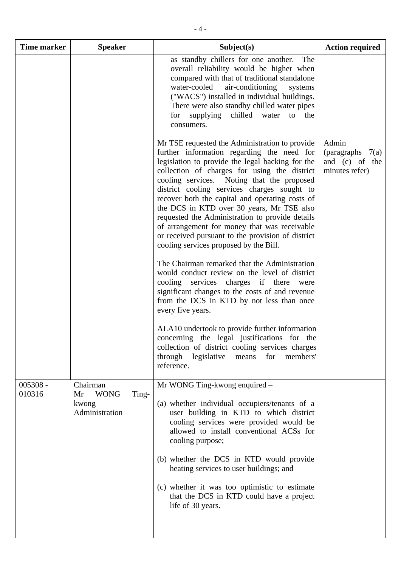| Time marker        | <b>Speaker</b>                                                    | Subject(s)                                                                                                                                                                                                                                                                                                                                                                                                                                                                                                                                                                                      | <b>Action required</b>                                          |
|--------------------|-------------------------------------------------------------------|-------------------------------------------------------------------------------------------------------------------------------------------------------------------------------------------------------------------------------------------------------------------------------------------------------------------------------------------------------------------------------------------------------------------------------------------------------------------------------------------------------------------------------------------------------------------------------------------------|-----------------------------------------------------------------|
|                    |                                                                   | as standby chillers for one another.<br>The<br>overall reliability would be higher when<br>compared with that of traditional standalone<br>water-cooled<br>air-conditioning<br>systems<br>("WACS") installed in individual buildings.<br>There were also standby chilled water pipes<br>for supplying chilled water<br>the<br>to<br>consumers.                                                                                                                                                                                                                                                  |                                                                 |
|                    |                                                                   | Mr TSE requested the Administration to provide<br>further information regarding the need for<br>legislation to provide the legal backing for the<br>collection of charges for using the district<br>cooling services. Noting that the proposed<br>district cooling services charges sought to<br>recover both the capital and operating costs of<br>the DCS in KTD over 30 years, Mr TSE also<br>requested the Administration to provide details<br>of arrangement for money that was receivable<br>or received pursuant to the provision of district<br>cooling services proposed by the Bill. | Admin<br>(paragraphs $7(a)$<br>and (c) of the<br>minutes refer) |
|                    |                                                                   | The Chairman remarked that the Administration<br>would conduct review on the level of district<br>cooling services charges if there were<br>significant changes to the costs of and revenue<br>from the DCS in KTD by not less than once<br>every five years.                                                                                                                                                                                                                                                                                                                                   |                                                                 |
|                    |                                                                   | ALA10 undertook to provide further information<br>concerning the legal justifications for the<br>collection of district cooling services charges<br>through<br>for<br>members'<br>legislative<br>means<br>reference.                                                                                                                                                                                                                                                                                                                                                                            |                                                                 |
| 005308 -<br>010316 | Chairman<br><b>WONG</b><br>Ting-<br>Mr<br>kwong<br>Administration | Mr WONG Ting-kwong enquired –<br>(a) whether individual occupiers/tenants of a<br>user building in KTD to which district<br>cooling services were provided would be<br>allowed to install conventional ACSs for<br>cooling purpose;                                                                                                                                                                                                                                                                                                                                                             |                                                                 |
|                    |                                                                   | (b) whether the DCS in KTD would provide<br>heating services to user buildings; and                                                                                                                                                                                                                                                                                                                                                                                                                                                                                                             |                                                                 |
|                    |                                                                   | (c) whether it was too optimistic to estimate<br>that the DCS in KTD could have a project<br>life of 30 years.                                                                                                                                                                                                                                                                                                                                                                                                                                                                                  |                                                                 |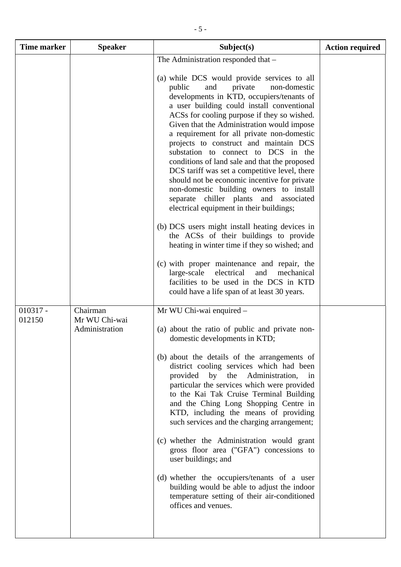| <b>Time marker</b>   | <b>Speaker</b>            | Subject(s)                                                                                                                                                                                                                                                                                                                                                                                                                                                                                                                                                                                                                                            | <b>Action required</b> |
|----------------------|---------------------------|-------------------------------------------------------------------------------------------------------------------------------------------------------------------------------------------------------------------------------------------------------------------------------------------------------------------------------------------------------------------------------------------------------------------------------------------------------------------------------------------------------------------------------------------------------------------------------------------------------------------------------------------------------|------------------------|
|                      |                           | The Administration responded that -<br>(a) while DCS would provide services to all                                                                                                                                                                                                                                                                                                                                                                                                                                                                                                                                                                    |                        |
|                      |                           | public<br>private<br>non-domestic<br>and<br>developments in KTD, occupiers/tenants of<br>a user building could install conventional<br>ACSs for cooling purpose if they so wished.<br>Given that the Administration would impose<br>a requirement for all private non-domestic<br>projects to construct and maintain DCS<br>substation to connect to DCS in the<br>conditions of land sale and that the proposed<br>DCS tariff was set a competitive level, there<br>should not be economic incentive for private<br>non-domestic building owners to install<br>separate chiller plants and<br>associated<br>electrical equipment in their buildings; |                        |
|                      |                           | (b) DCS users might install heating devices in<br>the ACSs of their buildings to provide<br>heating in winter time if they so wished; and                                                                                                                                                                                                                                                                                                                                                                                                                                                                                                             |                        |
|                      |                           | (c) with proper maintenance and repair, the<br>electrical<br>large-scale<br>and<br>mechanical<br>facilities to be used in the DCS in KTD<br>could have a life span of at least 30 years.                                                                                                                                                                                                                                                                                                                                                                                                                                                              |                        |
| $010317 -$<br>012150 | Chairman<br>Mr WU Chi-wai | Mr WU Chi-wai enquired -                                                                                                                                                                                                                                                                                                                                                                                                                                                                                                                                                                                                                              |                        |
|                      | Administration            | (a) about the ratio of public and private non-<br>domestic developments in KTD;                                                                                                                                                                                                                                                                                                                                                                                                                                                                                                                                                                       |                        |
|                      |                           | (b) about the details of the arrangements of<br>district cooling services which had been<br>provided<br>by<br>the<br>Administration,<br>1n<br>particular the services which were provided<br>to the Kai Tak Cruise Terminal Building<br>and the Ching Long Shopping Centre in<br>KTD, including the means of providing<br>such services and the charging arrangement;                                                                                                                                                                                                                                                                                 |                        |
|                      |                           | (c) whether the Administration would grant<br>gross floor area ("GFA") concessions to<br>user buildings; and                                                                                                                                                                                                                                                                                                                                                                                                                                                                                                                                          |                        |
|                      |                           | (d) whether the occupiers/tenants of a user<br>building would be able to adjust the indoor<br>temperature setting of their air-conditioned<br>offices and venues.                                                                                                                                                                                                                                                                                                                                                                                                                                                                                     |                        |
|                      |                           |                                                                                                                                                                                                                                                                                                                                                                                                                                                                                                                                                                                                                                                       |                        |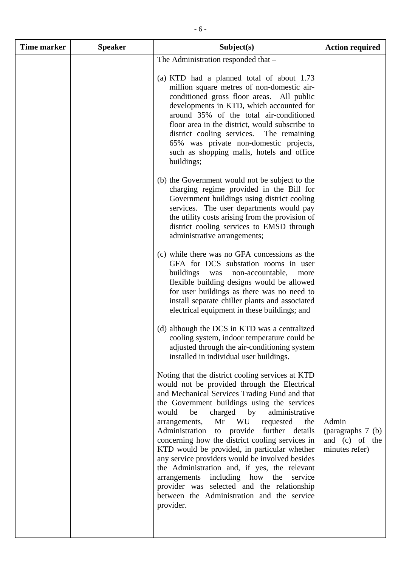| <b>Time marker</b> | <b>Speaker</b> | Subject(s)                                                                                                                                                                                                                                                                                                                                                                                                                                                                                                                                                                                                                                                                                                      | <b>Action required</b>                                         |
|--------------------|----------------|-----------------------------------------------------------------------------------------------------------------------------------------------------------------------------------------------------------------------------------------------------------------------------------------------------------------------------------------------------------------------------------------------------------------------------------------------------------------------------------------------------------------------------------------------------------------------------------------------------------------------------------------------------------------------------------------------------------------|----------------------------------------------------------------|
|                    |                | The Administration responded that -                                                                                                                                                                                                                                                                                                                                                                                                                                                                                                                                                                                                                                                                             |                                                                |
|                    |                | (a) KTD had a planned total of about 1.73<br>million square metres of non-domestic air-<br>conditioned gross floor areas. All public<br>developments in KTD, which accounted for<br>around 35% of the total air-conditioned<br>floor area in the district, would subscribe to<br>district cooling services. The remaining<br>65% was private non-domestic projects,<br>such as shopping malls, hotels and office<br>buildings;                                                                                                                                                                                                                                                                                  |                                                                |
|                    |                | (b) the Government would not be subject to the<br>charging regime provided in the Bill for<br>Government buildings using district cooling<br>services. The user departments would pay<br>the utility costs arising from the provision of<br>district cooling services to EMSD through<br>administrative arrangements;                                                                                                                                                                                                                                                                                                                                                                                           |                                                                |
|                    |                | (c) while there was no GFA concessions as the<br>GFA for DCS substation rooms in user<br>buildings was<br>non-accountable,<br>more<br>flexible building designs would be allowed<br>for user buildings as there was no need to<br>install separate chiller plants and associated<br>electrical equipment in these buildings; and                                                                                                                                                                                                                                                                                                                                                                                |                                                                |
|                    |                | (d) although the DCS in KTD was a centralized<br>cooling system, indoor temperature could be<br>adjusted through the air-conditioning system<br>installed in individual user buildings.                                                                                                                                                                                                                                                                                                                                                                                                                                                                                                                         |                                                                |
|                    |                | Noting that the district cooling services at KTD<br>would not be provided through the Electrical<br>and Mechanical Services Trading Fund and that<br>the Government buildings using the services<br>charged<br>would<br>be<br>by<br>administrative<br>WU<br>Mr<br>requested<br>arrangements,<br>the<br>Administration to provide further details<br>concerning how the district cooling services in<br>KTD would be provided, in particular whether<br>any service providers would be involved besides<br>the Administration and, if yes, the relevant<br>including how the<br>arrangements<br>service<br>provider was selected and the relationship<br>between the Administration and the service<br>provider. | Admin<br>(paragraphs 7 (b)<br>and (c) of the<br>minutes refer) |